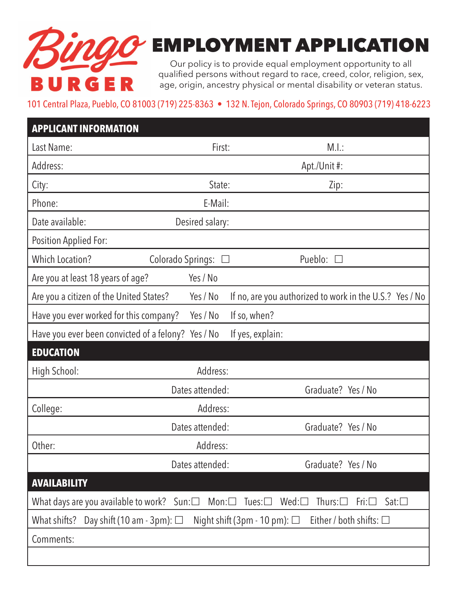

## EMPLOYMENT APPLICATION

Our policy is to provide equal employment opportunity to all qualified persons without regard to race, creed, color, religion, sex, age, origin, ancestry physical or mental disability or veteran status.

## 101 Central Plaza, Pueblo, CO 81003 (719) 225-8363 • 132 N. Tejon, Colorado Springs, CO 80903 (719) 418-6223

| <b>APPLICANT INFORMATION</b>                                                                                                                                 |                          |                                                         |
|--------------------------------------------------------------------------------------------------------------------------------------------------------------|--------------------------|---------------------------------------------------------|
| Last Name:                                                                                                                                                   | First:                   | M.l.:                                                   |
| Address:                                                                                                                                                     |                          | Apt./Unit#:                                             |
| City:                                                                                                                                                        | State:                   | Zip:                                                    |
| Phone:                                                                                                                                                       | E-Mail:                  |                                                         |
| Date available:                                                                                                                                              | Desired salary:          |                                                         |
| Position Applied For:                                                                                                                                        |                          |                                                         |
| <b>Which Location?</b>                                                                                                                                       | Colorado Springs:        | Pueblo:                                                 |
| Are you at least 18 years of age?                                                                                                                            | Yes / No                 |                                                         |
| Are you a citizen of the United States?                                                                                                                      | Yes / No                 | If no, are you authorized to work in the U.S.? Yes / No |
| Have you ever worked for this company?                                                                                                                       | Yes / No<br>If so, when? |                                                         |
| Have you ever been convicted of a felony? Yes / No                                                                                                           | If yes, explain:         |                                                         |
| <b>EDUCATION</b>                                                                                                                                             |                          |                                                         |
| High School:                                                                                                                                                 | Address:                 |                                                         |
|                                                                                                                                                              | Dates attended:          | Graduate? Yes / No                                      |
| College:                                                                                                                                                     | Address:                 |                                                         |
|                                                                                                                                                              | Dates attended:          | Graduate? Yes / No                                      |
| Other:                                                                                                                                                       | Address:                 |                                                         |
|                                                                                                                                                              | Dates attended:          | Graduate? Yes / No                                      |
| <b>AVAILABILITY</b>                                                                                                                                          |                          |                                                         |
| What days are you available to work? Sun: $\square$<br>$Mon: \square$<br>Tues: $\square$<br>Wed: $\square$<br>Thurs: $\Box$<br>$Sat: \square$<br>$Fri: \Box$ |                          |                                                         |
| Either / both shifts: $\square$<br>What shifts?<br>Day shift (10 am - 3pm): $\Box$<br>Night shift (3pm - 10 pm): $\square$                                   |                          |                                                         |
| Comments:                                                                                                                                                    |                          |                                                         |
|                                                                                                                                                              |                          |                                                         |